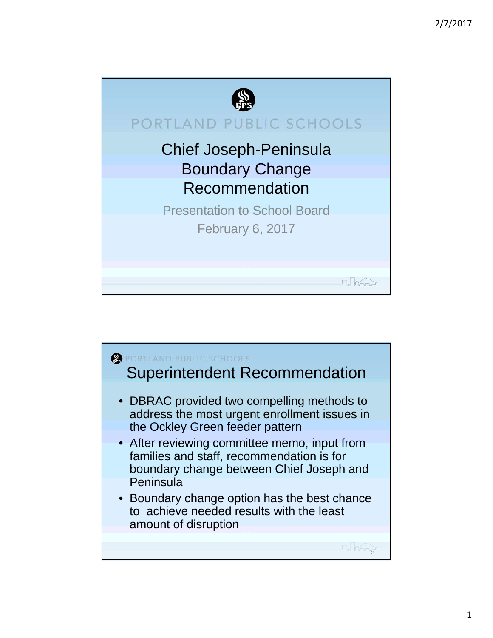

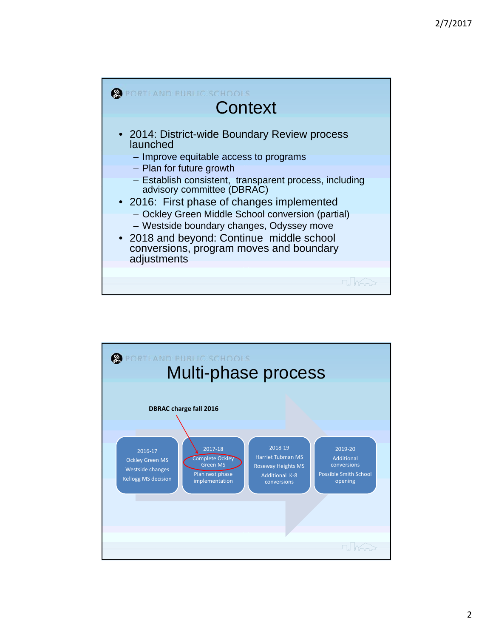

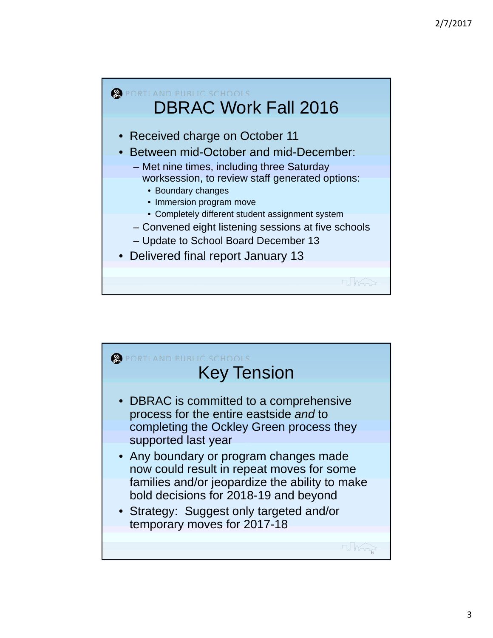

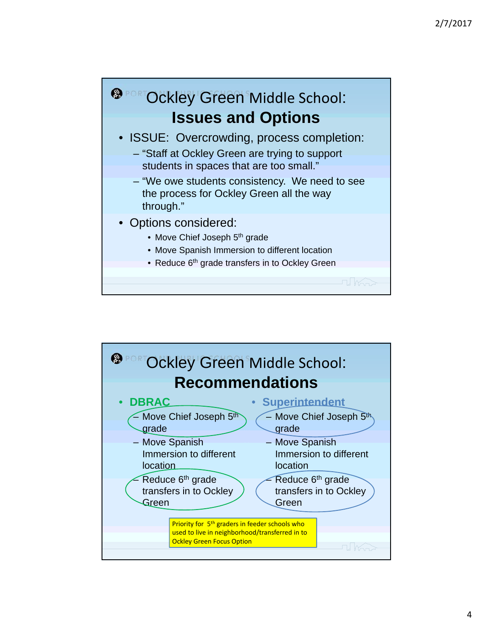

- Options considered:
	- Move Chief Joseph 5<sup>th</sup> grade
	- Move Spanish Immersion to different location
	- Reduce 6<sup>th</sup> grade transfers in to Ockley Green

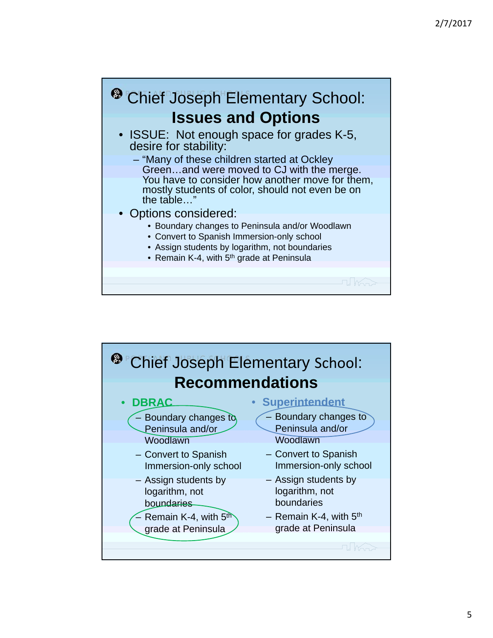## <sup>®</sup> Chief Joseph Elementary School: **Issues and Options**

- ISSUE: Not enough space for grades K-5, desire for stability:
	- "Many of these children started at Ockley Green…and were moved to CJ with the merge. You have to consider how another move for them, mostly students of color, should not even be on the table…"
- Options considered:
	- Boundary changes to Peninsula and/or Woodlawn
	- Convert to Spanish Immersion-only school
	- Assign students by logarithm, not boundaries
	- Remain K-4, with 5<sup>th</sup> grade at Peninsula

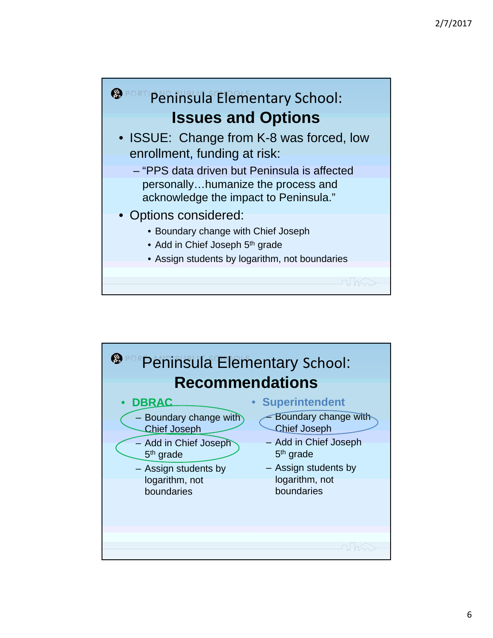

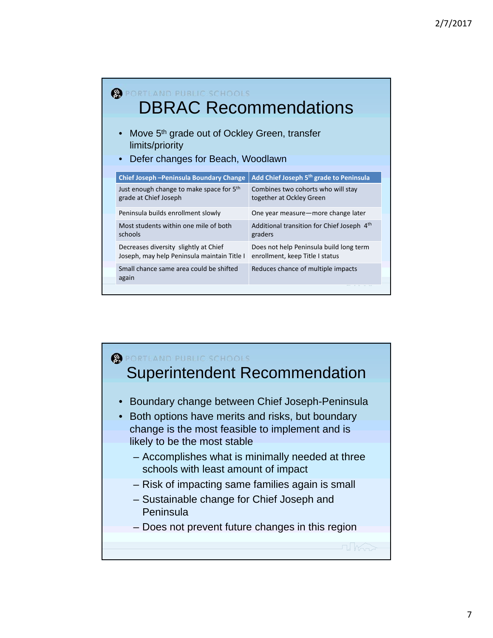| <b>LAND PUBLIC SCHOOLS</b><br><b>DBRAC Recommendations</b>                                                                    |                                                                            |  |  |  |  |  |  |  |
|-------------------------------------------------------------------------------------------------------------------------------|----------------------------------------------------------------------------|--|--|--|--|--|--|--|
| Move 5 <sup>th</sup> grade out of Ockley Green, transfer<br>limits/priority<br>Defer changes for Beach, Woodlawn<br>$\bullet$ |                                                                            |  |  |  |  |  |  |  |
| Chief Joseph - Peninsula Boundary Change                                                                                      | Add Chief Joseph 5 <sup>th</sup> grade to Peninsula                        |  |  |  |  |  |  |  |
| Just enough change to make space for 5th<br>grade at Chief Joseph                                                             | Combines two cohorts who will stay<br>together at Ockley Green             |  |  |  |  |  |  |  |
| Peninsula builds enrollment slowly                                                                                            | One year measure—more change later                                         |  |  |  |  |  |  |  |
| Most students within one mile of both<br>schools                                                                              | Additional transition for Chief Joseph 4th<br>graders                      |  |  |  |  |  |  |  |
| Decreases diversity slightly at Chief<br>Joseph, may help Peninsula maintain Title I                                          | Does not help Peninsula build long term<br>enrollment, keep Title I status |  |  |  |  |  |  |  |
| Small chance same area could be shifted<br>again                                                                              | Reduces chance of multiple impacts                                         |  |  |  |  |  |  |  |

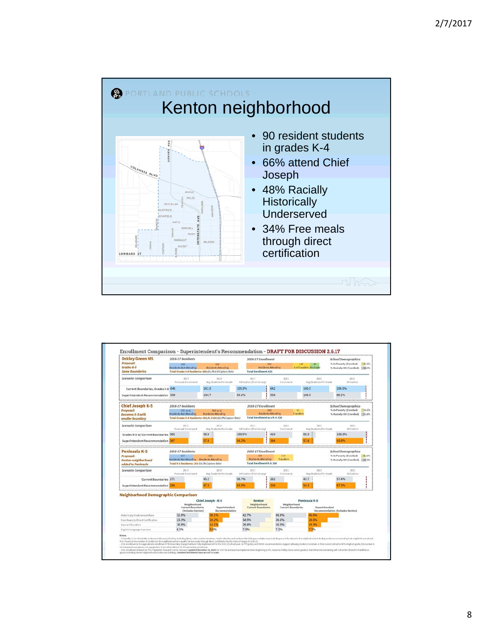

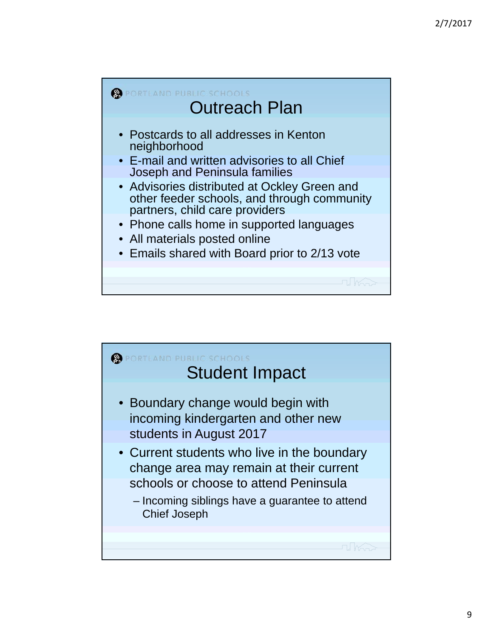

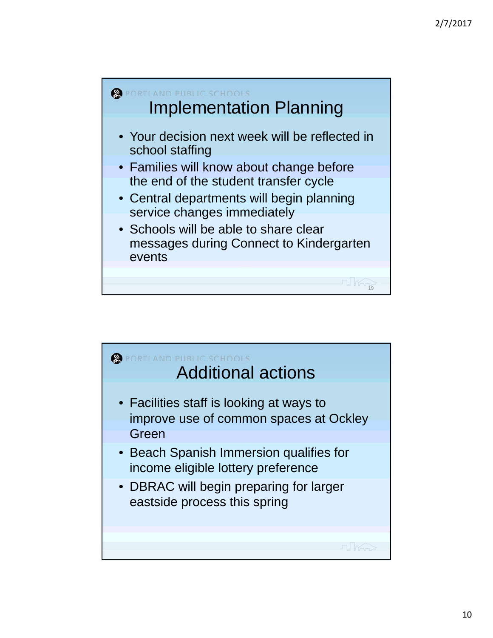

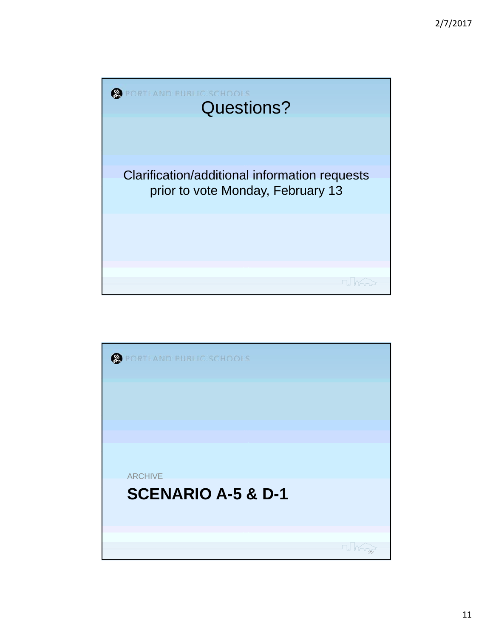

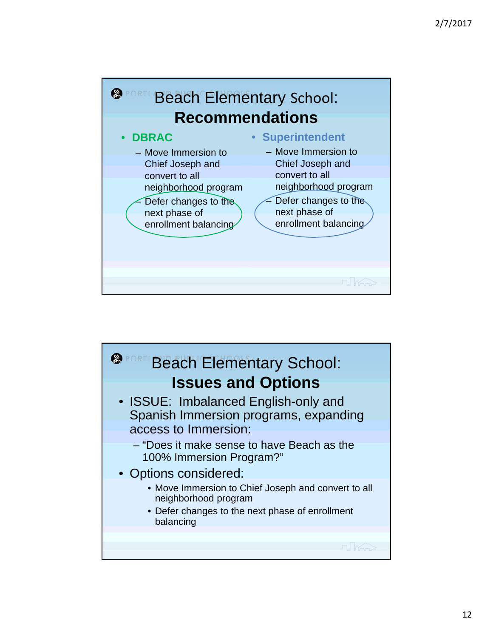

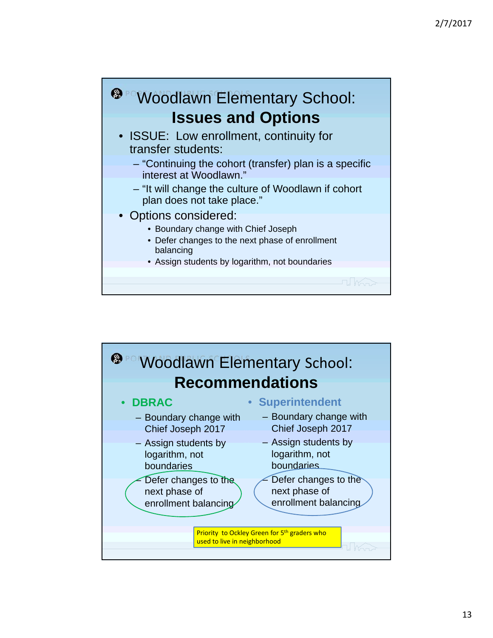

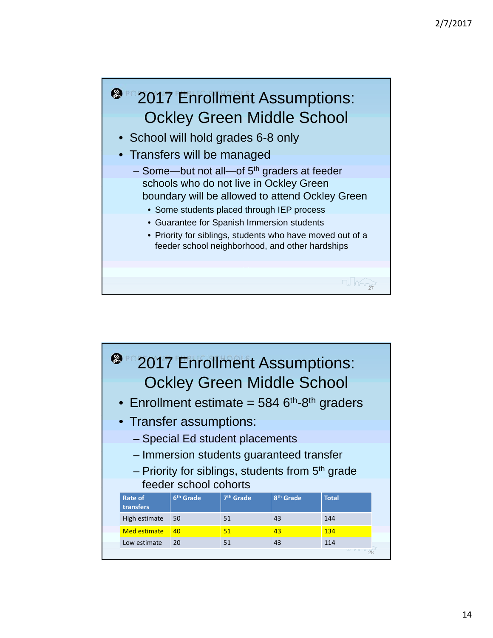

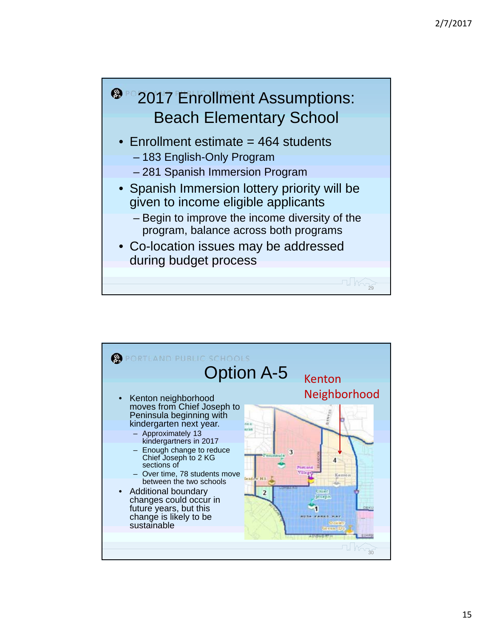

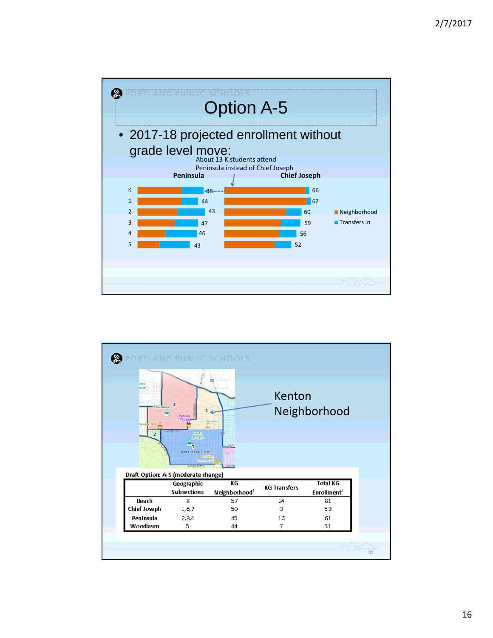

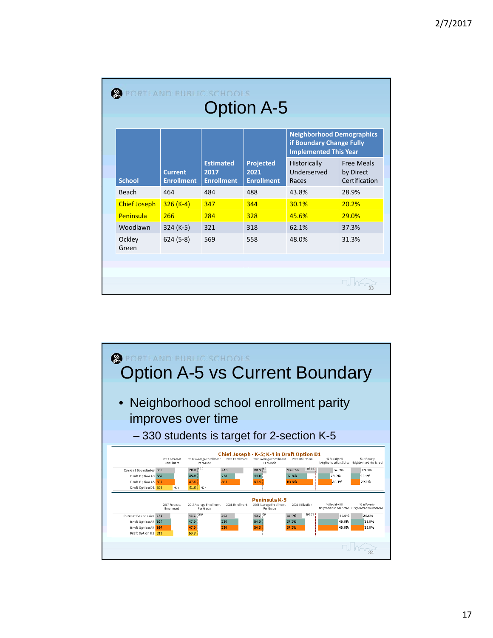|                     |                                     |                                               |                                               | <b>Neighborhood Demographics</b><br>if Boundary Change Fully<br><b>Implemented This Year</b> |                                                 |
|---------------------|-------------------------------------|-----------------------------------------------|-----------------------------------------------|----------------------------------------------------------------------------------------------|-------------------------------------------------|
| <b>School</b>       | <b>Current</b><br><b>Enrollment</b> | <b>Estimated</b><br>2017<br><b>Enrollment</b> | <b>Projected</b><br>2021<br><b>Enrollment</b> | Historically<br>Underserved<br>Races                                                         | <b>Free Meals</b><br>by Direct<br>Certification |
| Beach               | 464                                 | 484                                           | 488                                           | 43.8%                                                                                        | 28.9%                                           |
| <b>Chief Joseph</b> | $326 (K-4)$                         | 347                                           | 344                                           | 30.1%                                                                                        | 20.2%                                           |
| Peninsula           | 266                                 | 284                                           | 328                                           | 45.6%                                                                                        | 29.0%                                           |
| Woodlawn            | $324 (K-5)$                         | 321                                           | 318                                           | 62.1%                                                                                        | 37.3%                                           |
| Ockley<br>Green     | $624(5-8)$                          | 569                                           | 558                                           | 48.0%                                                                                        | 31.3%                                           |

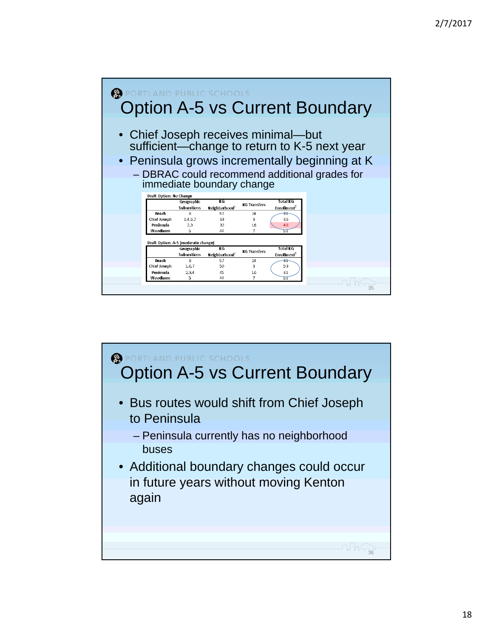

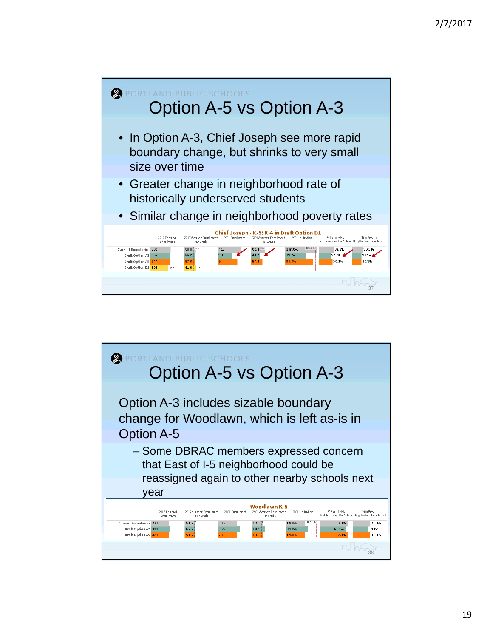

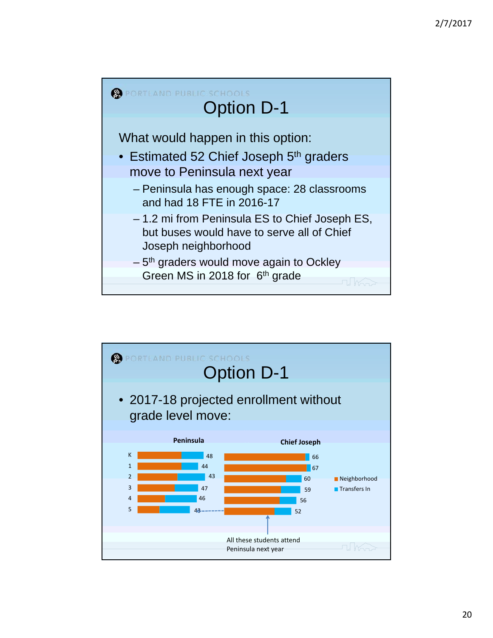

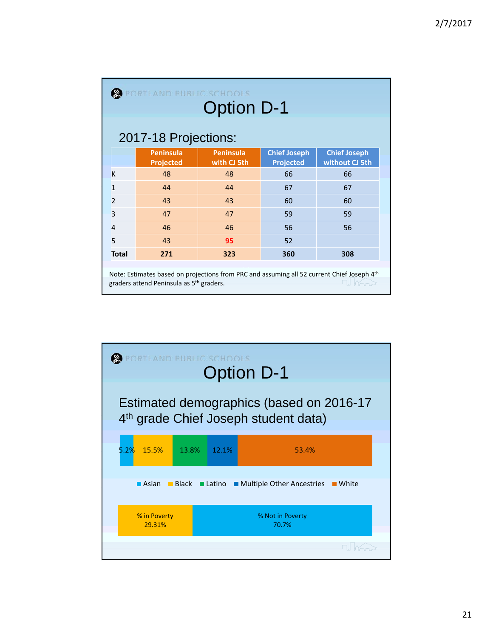|                | PORTLAND PUBLIC SCHOOLS<br><b>Option D-1</b><br>2017-18 Projections:                                                                                         |                                 |                                         |                                       |  |  |  |  |
|----------------|--------------------------------------------------------------------------------------------------------------------------------------------------------------|---------------------------------|-----------------------------------------|---------------------------------------|--|--|--|--|
|                | <b>Peninsula</b><br><b>Projected</b>                                                                                                                         | <b>Peninsula</b><br>with CJ 5th | <b>Chief Joseph</b><br><b>Projected</b> | <b>Chief Joseph</b><br>without CJ 5th |  |  |  |  |
| K              | 48                                                                                                                                                           | 48                              | 66                                      | 66                                    |  |  |  |  |
| $\overline{1}$ | 44                                                                                                                                                           | 44                              | 67                                      | 67                                    |  |  |  |  |
| $\overline{2}$ | 43                                                                                                                                                           | 43                              | 60                                      | 60                                    |  |  |  |  |
| 3              | 47                                                                                                                                                           | 47                              | 59                                      | 59                                    |  |  |  |  |
| $\overline{4}$ | 46                                                                                                                                                           | 46                              | 56                                      | 56                                    |  |  |  |  |
| 5              | 43                                                                                                                                                           | 95                              | 52                                      |                                       |  |  |  |  |
| <b>Total</b>   | 271                                                                                                                                                          | 323                             | 360                                     | 308                                   |  |  |  |  |
|                | Note: Estimates based on projections from PRC and assuming all 52 current Chief Joseph 4th<br>graders attend Peninsula as 5 <sup>th</sup> graders.<br>L Korr |                                 |                                         |                                       |  |  |  |  |

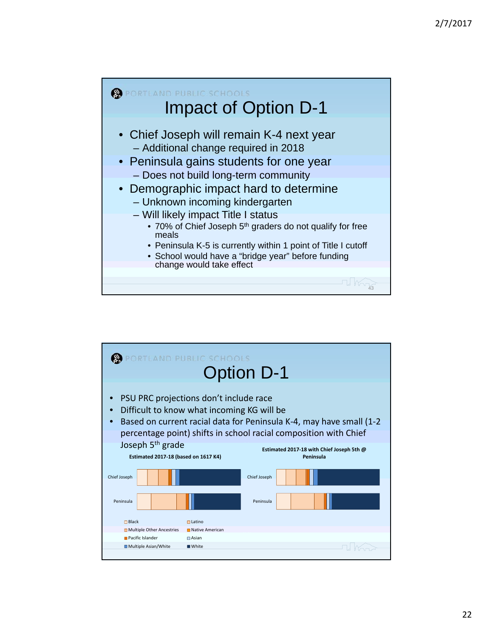